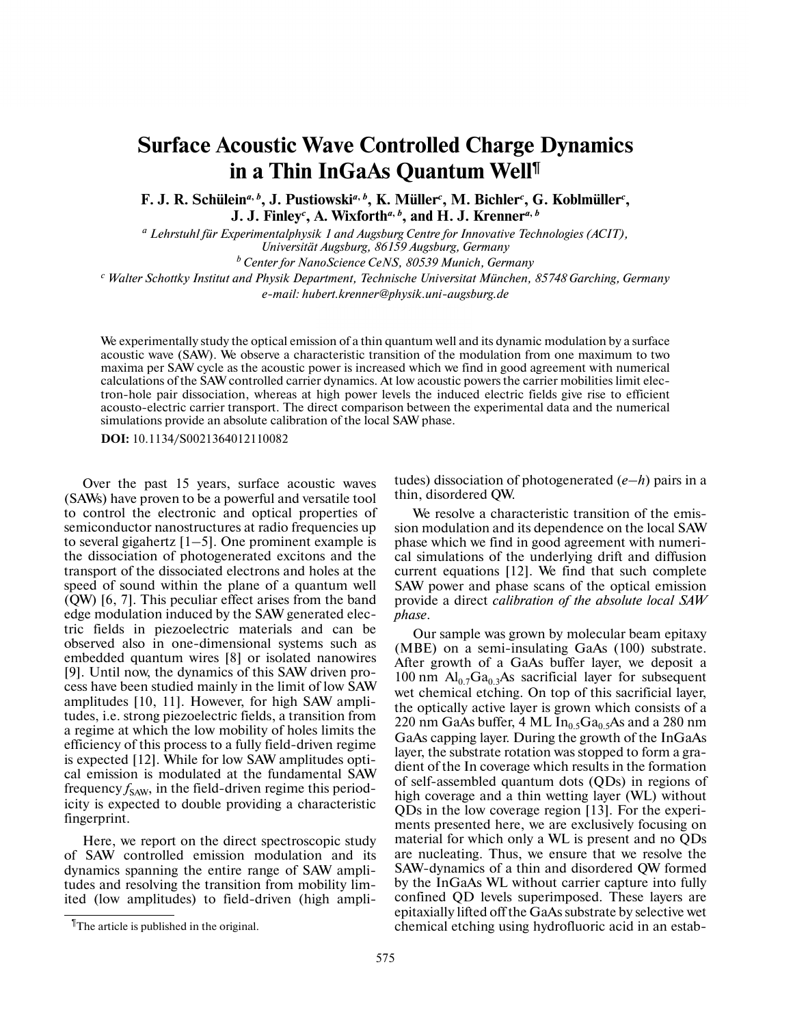## **Surface Acoustic Wave Controlled Charge Dynamics in a Thin InGaAs Quantum Well ¶**

F. J. R. Schülein<sup>a, b</sup>, J. Pustiowski<sup>a, b</sup>, K. Müller<sup>c</sup>, M. Bichler<sup>c</sup>, G. Koblmüller<sup>c</sup>, **J. J. Finley** *c* **, A. Wixforth** *a***,** *b* **, and H. J. Krenner** *a***,** *b*

*<sup>a</sup> Lehrstuhl für Experimentalphysik 1 and Augsburg Centre for Innovative Technologies (ACIT), Universität Augsburg, 86159 Augsburg, Germany <sup>b</sup> Center for NanoScience CeNS, 80539 Munich, Germany*

*<sup>c</sup> Walter Schottky Institut and Physik Department, Technische Universitat München, 85748 Garching, Germany e-mail: hubert.krenner@physik.uni-augsburg.de*

We experimentally study the optical emission of a thin quantum well and its dynamic modulation by a surface acoustic wave (SAW). We observe a characteristic transition of the modulation from one maximum to two maxima per SAW cycle as the acoustic power is increased which we find in good agreement with numerical calculations of the SAW controlled carrier dynamics. At low acoustic powers the carrier mobilities limit elec tron-hole pair dissociation, whereas at high power levels the induced electric fields give rise to efficient acousto-electric carrier transport. The direct comparison between the experimental data and the numerical simulations provide an absolute calibration of the local SAW phase.

**DOI:** 10.1134/S0021364012110082

Over the past 15 years, surface acoustic waves (SAWs) have proven to be a powerful and versatile tool to control the electronic and optical properties of semiconductor nanostructures at radio frequencies up to several gigahertz  $[1-5]$ . One prominent example is the dissociation of photogenerated excitons and the transport of the dissociated electrons and holes at the speed of sound within the plane of a quantum well (QW) [6, 7]. This peculiar effect arises from the band edge modulation induced by the SAW generated electric fields in piezoelectric materials and can be observed also in one-dimensional systems such as embedded quantum wires [8] or isolated nanowires [9]. Until now, the dynamics of this SAW driven pro cess have been studied mainly in the limit of low SAW amplitudes [10, 11]. However, for high SAW amplitudes, i.e. strong piezoelectric fields, a transition from a regime at which the low mobility of holes limits the efficiency of this process to a fully field-driven regime is expected [12]. While for low SAW amplitudes optical emission is modulated at the fundamental SAW frequency  $f_{SAW}$ , in the field-driven regime this periodicity is expected to double providing a characteristic fingerprint.

Here, we report on the direct spectroscopic study of SAW controlled emission modulation and its dynamics spanning the entire range of SAW amplitudes and resolving the transition from mobility limited (low amplitudes) to field-driven (high ampli-

We resolve a characteristic transition of the emis sion modulation and its dependence on the local SAW phase which we find in good agreement with numeri cal simulations of the underlying drift and diffusion current equations [12]. We find that such complete SAW power and phase scans of the optical emission provide a direct *calibration of the absolute local SAW phase*.

Our sample was grown by molecular beam epitaxy (MBE) on a semi-insulating GaAs (100) substrate. After growth of a GaAs buffer layer, we deposit a 100 nm  $Al<sub>0.7</sub>Ga<sub>0.3</sub>As as a  
carificial layer for subsequent$ wet chemical etching. On top of this sacrificial layer, the optically active layer is grown which consists of a 220 nm GaAs buffer, 4 ML  $In<sub>0.5</sub>Ga<sub>0.5</sub>As$  and a 280 nm GaAs capping layer. During the growth of the InGaAs layer, the substrate rotation was stopped to form a gra dient of the In coverage which results in the formation of self-assembled quantum dots (QDs) in regions of high coverage and a thin wetting layer (WL) without QDs in the low coverage region [13]. For the experi ments presented here, we are exclusively focusing on material for which only a WL is present and no QDs are nucleating. Thus, we ensure that we resolve the SAW-dynamics of a thin and disordered QW formed by the InGaAs WL without carrier capture into fully confined QD levels superimposed. These layers are epitaxially lifted off the GaAs substrate by selective wet chemical etching using hydrofluoric acid in an estab-

tudes) dissociation of photogenerated (*e*–*h*) pairs in a thin, disordered QW.

<sup>¶</sup>The article is published in the original.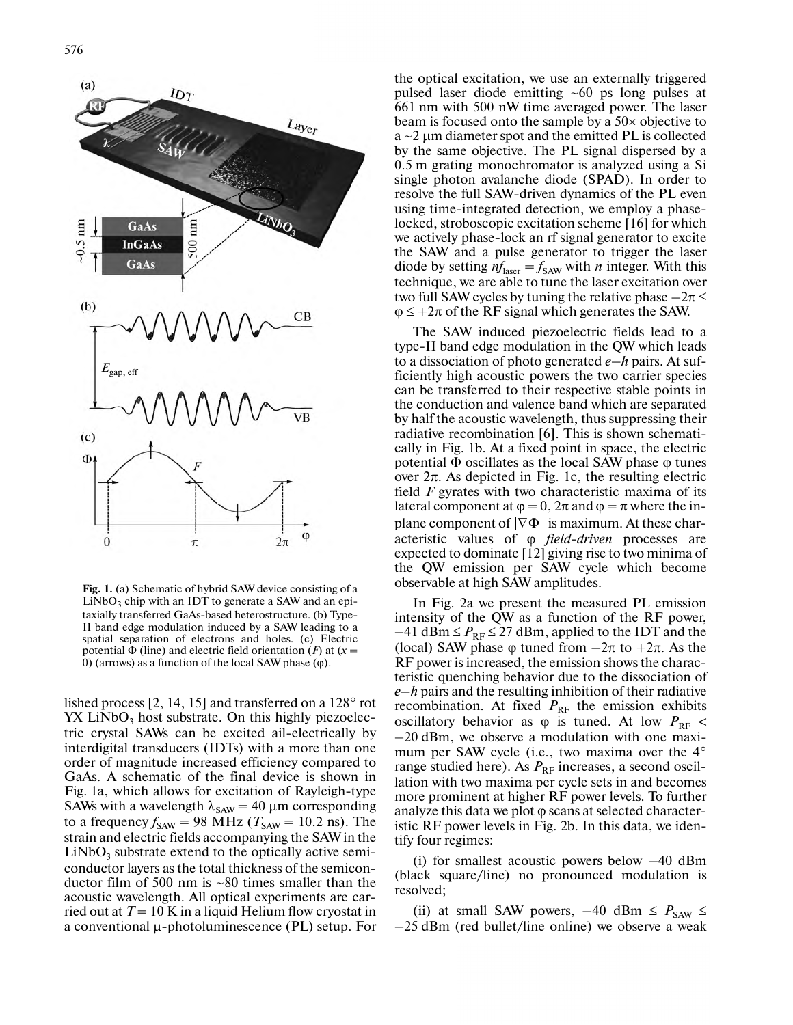

**Fig. 1.** (a) Schematic of hybrid SAW device consisting of a  $LiNbO<sub>3</sub>$  chip with an IDT to generate a SAW and an epitaxially transferred GaAs-based heterostructure. (b) Type- II band edge modulation induced by a SAW leading to a spatial separation of electrons and holes. (c) Electric potential Φ (line) and electric field orientation (*F*) at (*x* = 0) (arrows) as a function of the local SAW phase  $(\varphi)$ .

lished process [2, 14, 15] and transferred on a 128° rot  $YX$  LiNbO<sub>3</sub> host substrate. On this highly piezoelectric crystal SAWs can be excited ail-electrically by interdigital transducers (IDTs) with a more than one order of magnitude increased efficiency compared to GaAs. A schematic of the final device is shown in Fig. 1a, which allows for excitation of Rayleigh-type SAWs with a wavelength  $\lambda_{SAW} = 40 \mu m$  corresponding to a frequency  $f_{SAW} = 98 \text{ MHz}$  ( $T_{SAW} = 10.2 \text{ ns}$ ). The strain and electric fields accompanying the SAW in the  $LiNbO<sub>3</sub>$  substrate extend to the optically active semiconductor layers as the total thickness of the semicon ductor film of 500 nm is ~80 times smaller than the acoustic wavelength. All optical experiments are carried out at  $T = 10$  K in a liquid Helium flow cryostat in a conventional μ-photoluminescence (PL) setup. For

the optical excitation, we use an externally triggered pulsed laser diode emitting ~60 ps long pulses at 661 nm with 500 nW time averaged power. The laser beam is focused onto the sample by a  $50\times$  objective to  $a \sim 2 \mu m$  diameter spot and the emitted PL is collected by the same objective. The PL signal dispersed by a 0.5 m grating monochromator is analyzed using a Si single photon avalanche diode (SPAD). In order to resolve the full SAW-driven dynamics of the PL even using time-integrated detection, we employ a phase locked, stroboscopic excitation scheme [16] for which we actively phase-lock an rf signal generator to excite the SAW and a pulse generator to trigger the laser diode by setting  $nf_{\text{laser}} = f_{\text{SAW}}$  with *n* integer. With this technique, we are able to tune the laser excitation over two full SAW cycles by tuning the relative phase  $-2\pi \leq$  $\varphi \leq +2\pi$  of the RF signal which generates the SAW.

The SAW induced piezoelectric fields lead to a type-II band edge modulation in the QW which leads to a dissociation of photo generated *e*–*h* pairs. At suf ficiently high acoustic powers the two carrier species can be transferred to their respective stable points in the conduction and valence band which are separated by half the acoustic wavelength, thus suppressing their radiative recombination [6]. This is shown schemati cally in Fig. 1b. At a fixed point in space, the electric potential  $\Phi$  oscillates as the local SAW phase  $\varphi$  tunes over  $2π$ . As depicted in Fig. 1c, the resulting electric field *F* gyrates with two characteristic maxima of its lateral component at  $\varphi = 0$ ,  $2\pi$  and  $\varphi = \pi$  where the inplane component of  $|\nabla \Phi|$  is maximum. At these characteristic values of ϕ *field-driven* processes are expected to dominate [12] giving rise to two minima of the QW emission per SAW cycle which become observable at high SAW amplitudes.

In Fig. 2a we present the measured PL emission intensity of the QW as a function of the RF power,  $-41$  dBm  $\leq P_{RF} \leq 27$  dBm, applied to the IDT and the (local) SAW phase  $\varphi$  tuned from  $-2\pi$  to  $+2\pi$ . As the RF power is increased, the emission shows the charac teristic quenching behavior due to the dissociation of *e*–*h* pairs and the resulting inhibition of their radiative recombination. At fixed  $P_{RF}$  the emission exhibits oscillatory behavior as  $\varphi$  is tuned. At low  $P_{RF}$  < 20 dBm, we observe a modulation with one maxi mum per SAW cycle (i.e., two maxima over the 4° range studied here). As  $P_{RF}$  increases, a second oscillation with two maxima per cycle sets in and becomes more prominent at higher RF power levels. To further analyze this data we plot ϕ scans at selected character istic RF power levels in Fig. 2b. In this data, we iden tify four regimes:

(i) for smallest acoustic powers below –40 dBm (black square/line) no pronounced modulation is resolved;

(ii) at small SAW powers,  $-40$  dBm  $\leq P_{SAW} \leq$ 25 dBm (red bullet/line online) we observe a weak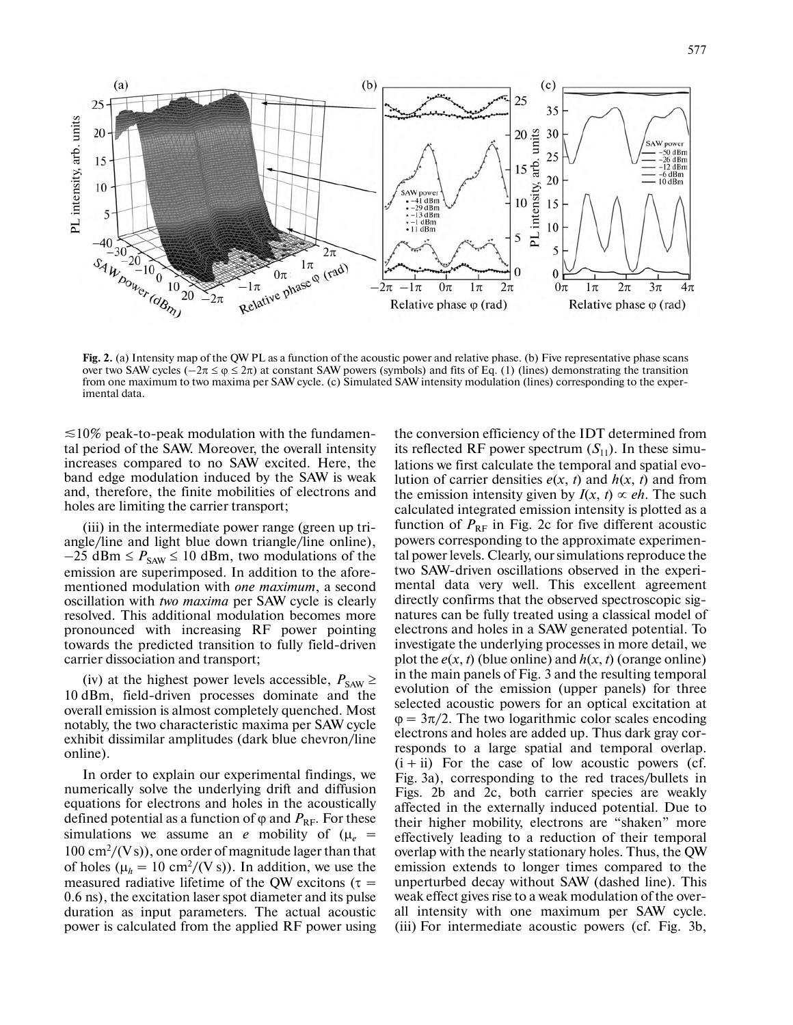

**Fig. 2.** (a) Intensity map of the QW PL as a function of the acoustic power and relative phase. (b) Five representative phase scans over two SAW cycles ( $-2\pi \le \varphi \le 2\pi$ ) at constant SAW powers (symbols) and fits of Eq. (1) (lines) demonstrating the transition from one maximum to two maxima per SAW cycle. (c) Simulated SAW intensity modulation (lines) corresponding to the exper imental data.

 $\leq$ 10% peak-to-peak modulation with the fundamental period of the SAW. Moreover, the overall intensity increases compared to no SAW excited. Here, the band edge modulation induced by the SAW is weak and, therefore, the finite mobilities of electrons and holes are limiting the carrier transport;

(iii) in the intermediate power range (green up tri angle/line and light blue down triangle/line online),  $-25$  dBm  $\leq P_{SAW} \leq 10$  dBm, two modulations of the emission are superimposed. In addition to the aforementioned modulation with *one maximum*, a second oscillation with *two maxima* per SAW cycle is clearly resolved. This additional modulation becomes more pronounced with increasing RF power pointing towards the predicted transition to fully field-driven carrier dissociation and transport;

(iv) at the highest power levels accessible,  $P_{\text{SAW}} \geq$ 10 dBm, field-driven processes dominate and the overall emission is almost completely quenched. Most notably, the two characteristic maxima per SAW cycle exhibit dissimilar amplitudes (dark blue chevron/line online).

In order to explain our experimental findings, we numerically solve the underlying drift and diffusion equations for electrons and holes in the acoustically defined potential as a function of  $\varphi$  and  $P_{\rm RF}$ . For these simulations we assume an *e* mobility of  $(\mu_e =$ 100 cm<sup>2</sup> /(V s)), one order of magnitude lager than that of holes ( $\mu_h = 10 \text{ cm}^2 / (\text{V s})$ ). In addition, we use the measured radiative lifetime of the QW excitons ( $\tau$  = 0.6 ns), the excitation laser spot diameter and its pulse duration as input parameters. The actual acoustic power is calculated from the applied RF power using the conversion efficiency of the IDT determined from its reflected RF power spectrum  $(S_{11})$ . In these simulations we first calculate the temporal and spatial evolution of carrier densities  $e(x, t)$  and  $h(x, t)$  and from the emission intensity given by  $I(x, t) \propto eh$ . The such calculated integrated emission intensity is plotted as a function of  $P_{RF}$  in Fig. 2c for five different acoustic powers corresponding to the approximate experimen tal power levels.Clearly, oursimulationsreproduce the two SAW-driven oscillations observed in the experi mental data very well. This excellent agreement directly confirms that the observed spectroscopic sig natures can be fully treated using a classical model of electrons and holes in a SAW generated potential. To investigate the underlying processes in more detail, we plot the  $e(x, t)$  (blue online) and  $h(x, t)$  (orange online) in the main panels of Fig. 3 and the resulting temporal evolution of the emission (upper panels) for three selected acoustic powers for an optical excitation at  $\varphi = 3\pi/2$ . The two logarithmic color scales encoding electrons and holes are added up. Thus dark gray cor responds to a large spatial and temporal overlap.  $(i + ii)$  For the case of low acoustic powers (cf. Fig. 3a), corresponding to the red traces/bullets in Figs. 2b and 2c, both carrier species are weakly affected in the externally induced potential. Due to their higher mobility, electrons are "shaken" more effectively leading to a reduction of their temporal overlap with the nearly stationary holes. Thus, the QW emission extends to longer times compared to the unperturbed decay without SAW (dashed line). This weak effect gives rise to a weak modulation of the over all intensity with one maximum per SAW cycle. (iii) For intermediate acoustic powers (cf. Fig. 3b,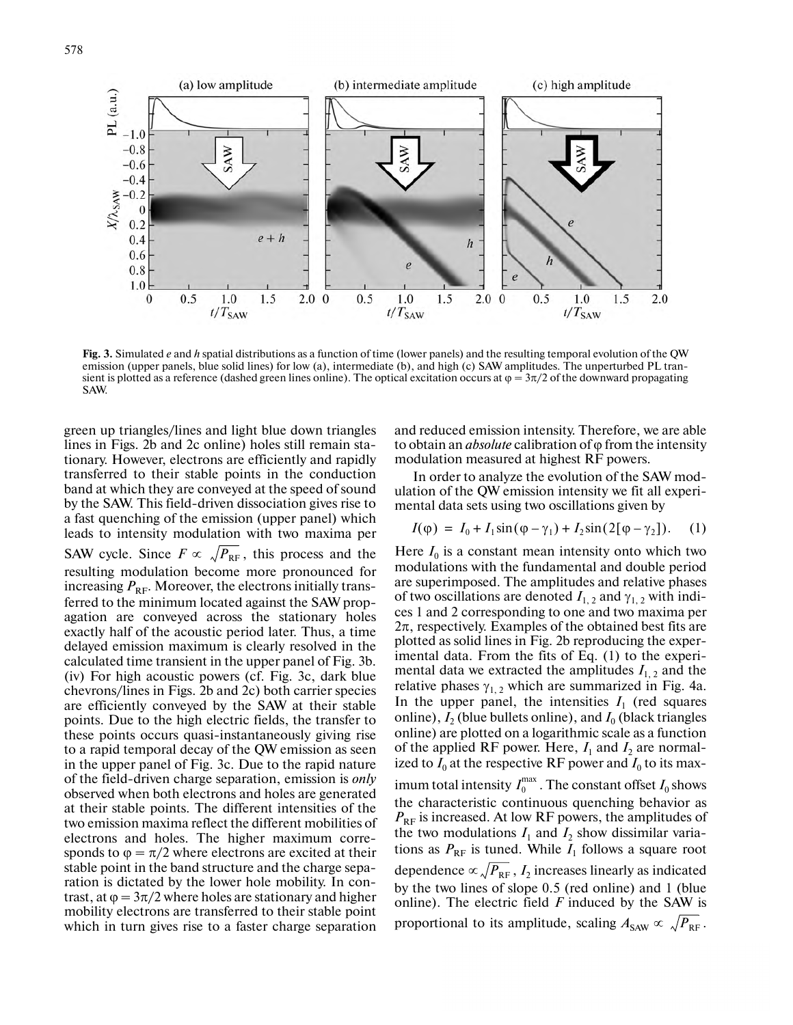

**Fig. 3.** Simulated *e* and *h* spatial distributions as a function of time (lower panels) and the resulting temporal evolution of the QW emission (upper panels, blue solid lines) for low (a), intermediate (b), and high (c) SAW amplitudes. The unperturbed PL tran sient is plotted as a reference (dashed green lines online). The optical excitation occurs at  $\varphi = 3\pi/2$  of the downward propagating SAW.

green up triangles/lines and light blue down triangles lines in Figs. 2b and 2c online) holes still remain stationary. However, electrons are efficiently and rapidly transferred to their stable points in the conduction band at which they are conveyed at the speed of sound by the SAW. This field-driven dissociation gives rise to a fast quenching of the emission (upper panel) which leads to intensity modulation with two maxima per SAW cycle. Since  $F \propto \sqrt{P_{RF}}$ , this process and the resulting modulation become more pronounced for increasing  $P_{\text{RF}}$ . Moreover, the electrons initially transferred to the minimum located against the SAW propagation are conveyed across the stationary holes exactly half of the acoustic period later. Thus, a time delayed emission maximum is clearly resolved in the calculated time transient in the upper panel of Fig. 3b. (iv) For high acoustic powers (cf. Fig. 3c, dark blue chevrons/lines in Figs. 2b and 2c) both carrier species are efficiently conveyed by the SAW at their stable points. Due to the high electric fields, the transfer to these points occurs quasi-instantaneously giving rise to a rapid temporal decay of the QW emission as seen in the upper panel of Fig. 3c. Due to the rapid nature of the field-driven charge separation, emission is *only* observed when both electrons and holes are generated at their stable points. The different intensities of the two emission maxima reflect the different mobilities of electrons and holes. The higher maximum corre sponds to  $\varphi = \pi/2$  where electrons are excited at their stable point in the band structure and the charge separation is dictated by the lower hole mobility. In contrast, at  $\varphi = 3\pi/2$  where holes are stationary and higher mobility electrons are transferred to their stable point which in turn gives rise to a faster charge separation and reduced emission intensity. Therefore, we are able to obtain an *absolute* calibration of φ from the intensity modulation measured at highest RF powers.

In order to analyze the evolution of the SAW mod ulation of the QW emission intensity we fit all experi mental data sets using two oscillations given by

$$
I(\varphi) = I_0 + I_1 \sin(\varphi - \gamma_1) + I_2 \sin(2[\varphi - \gamma_2]). \tag{1}
$$

Here  $I_0$  is a constant mean intensity onto which two modulations with the fundamental and double period are superimposed. The amplitudes and relative phases of two oscillations are denoted  $I_{1,2}$  and  $\gamma_{1,2}$  with indices 1 and 2 corresponding to one and two maxima per  $2\pi$ , respectively. Examples of the obtained best fits are plotted as solid lines in Fig. 2b reproducing the exper imental data. From the fits of Eq. (1) to the experi mental data we extracted the amplitudes  $I_{1,2}$  and the relative phases  $\gamma_{1,2}$  which are summarized in Fig. 4a. In the upper panel, the intensities  $I_1$  (red squares online),  $I_2$  (blue bullets online), and  $I_0$  (black triangles online) are plotted on a logarithmic scale as a function of the applied RF power. Here,  $I_1$  and  $I_2$  are normalized to  $I_0$  at the respective RF power and  $I_0$  to its maximum total intensity  $I_0^{\max}$  . The constant offset  $I_0$  shows the characteristic continuous quenching behavior as  $P_{\text{RF}}$  is increased. At low RF powers, the amplitudes of the two modulations  $I_1$  and  $I_2$  show dissimilar variations as  $P_{RF}$  is tuned. While  $I_1$  follows a square root dependence  $\propto$   $\sqrt{P_\text{RF}}$  ,  $I_2$  increases linearly as indicated by the two lines of slope 0.5 (red online) and 1 (blue online). The electric field *F* induced by the SAW is

proportional to its amplitude, scaling  $A_{\text{SAW}} \propto \sqrt{P_{\text{RF}}}$ .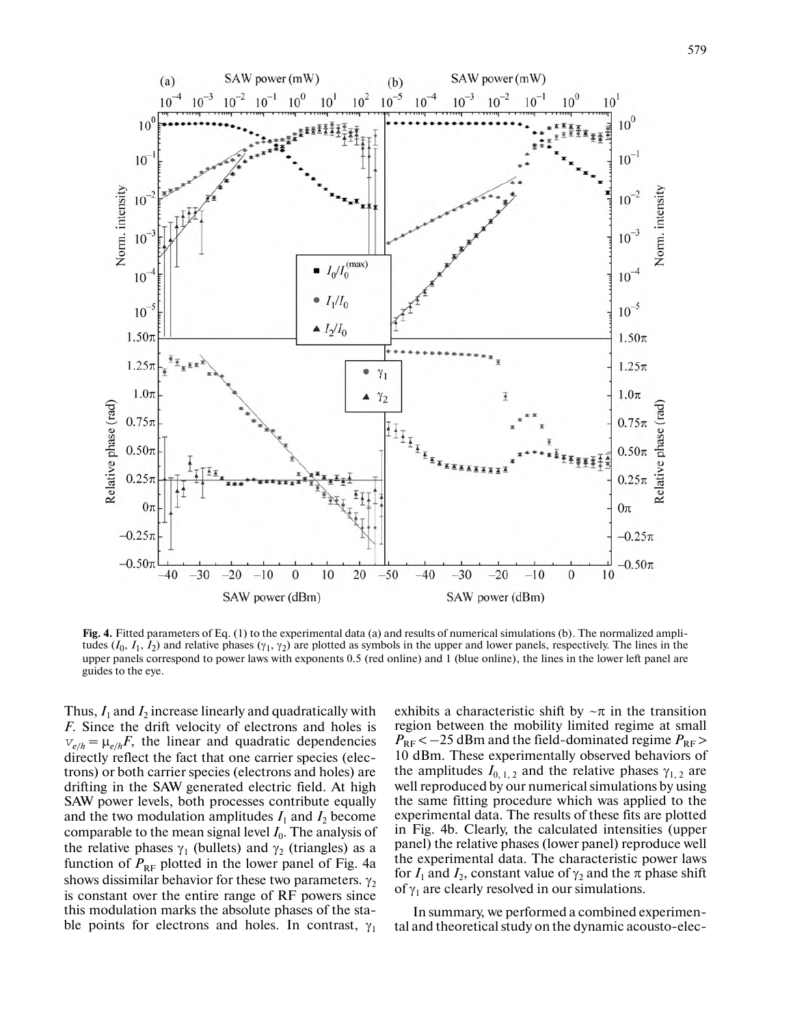

**Fig. 4.** Fitted parameters of Eq. (1) to the experimental data (a) and results of numerical simulations (b). The normalized ampli tudes  $(I_0, I_1, I_2)$  and relative phases  $(\gamma_1, \gamma_2)$  are plotted as symbols in the upper and lower panels, respectively. The lines in the upper panels correspond to power laws with exponents 0.5 (red online) and 1 (blue online), the lines in the lower left panel are guides to the eye.

Thus,  $I_1$  and  $I_2$  increase linearly and quadratically with *F*. Since the drift velocity of electrons and holes is  $v_{e/h} = \mu_{e/h} F$ , the linear and quadratic dependencies directly reflect the fact that one carrier species (electrons) or both carrier species (electrons and holes) are drifting in the SAW generated electric field. At high SAW power levels, both processes contribute equally and the two modulation amplitudes  $I_1$  and  $I_2$  become comparable to the mean signal level  $I_0$ . The analysis of the relative phases  $\gamma_1$  (bullets) and  $\gamma_2$  (triangles) as a function of  $P_{RF}$  plotted in the lower panel of Fig. 4a shows dissimilar behavior for these two parameters.  $\gamma_2$ is constant over the entire range of RF powers since this modulation marks the absolute phases of the stable points for electrons and holes. In contrast,  $\gamma_1$  exhibits a characteristic shift by  $\neg \pi$  in the transition region between the mobility limited regime at small  $P_{\rm RF}$  < -25 dBm and the field-dominated regime  $P_{\rm RF}$  > 10 dBm. These experimentally observed behaviors of the amplitudes  $I_{0,1,2}$  and the relative phases  $\gamma_{1,2}$  are well reproduced by our numerical simulations by using the same fitting procedure which was applied to the experimental data. The results of these fits are plotted in Fig. 4b. Clearly, the calculated intensities (upper panel) the relative phases (lower panel) reproduce well the experimental data. The characteristic power laws for  $I_1$  and  $I_2$ , constant value of  $\gamma_2$  and the  $\pi$  phase shift of  $\gamma_1$  are clearly resolved in our simulations.

In summary, we performed a combined experimen tal and theoretical study on the dynamic acousto-elec